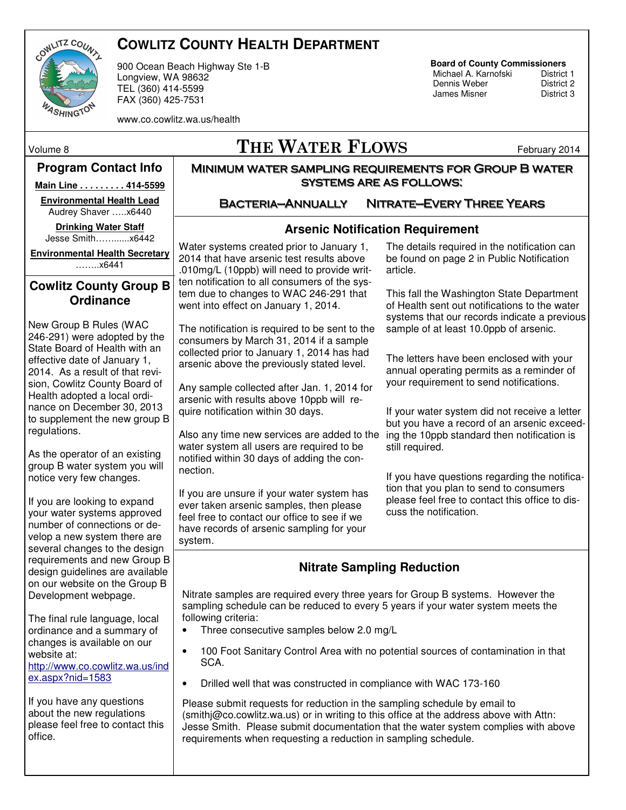

# **COWLITZ COUNTY HEALTH DEPARTMENT**

900 Ocean Beach Highway Ste 1-B Longview, WA 98632 TEL (360) 414-5599 FAX (360) 425-7531

# **Board of County Commissioners**

Michael A. Karnofski District 1<br>Dennis Weber District 2 **Dennis Weber** District 2<br> **District 3**<br>
District 3 James Misner

www.co.cowlitz.wa.us/health

# Volume 8  $\Gamma$  THE WATER FLOWS February 2014

#### **Program Contact Info**

**Main Line . . . . . . . . . 414-5599** 

**Environmental Health Lead**  Audrey Shaver …..x6440

**Drinking Water Staff**  Jesse Smith……......x6442

**Environmental Health Secretary**  ……..x6441

#### **Cowlitz County Group B Ordinance**

New Group B Rules (WAC 246-291) were adopted by the State Board of Health with an effective date of January 1, 2014. As a result of that revision, Cowlitz County Board of Health adopted a local ordinance on December 30, 2013 to supplement the new group B regulations.

As the operator of an existing group B water system you will notice very few changes.

If you are looking to expand your water systems approved number of connections or develop a new system there are several changes to the design requirements and new Group B design guidelines are available on our website on the Group B Development webpage.

The final rule language, local ordinance and a summary of changes is available on our website at: http://www.co.cowlitz.wa.us/ind ex.aspx?nid=1583

If you have any questions about the new regulations please feel free to contact this office.

Bacteria—Annually Nitrate—Every Three Years

Minimum water sampling requirements for Group B water systems are as follows:

### **Arsenic Notification Requirement**

Water systems created prior to January 1, 2014 that have arsenic test results above .010mg/L (10ppb) will need to provide written notification to all consumers of the system due to changes to WAC 246-291 that went into effect on January 1, 2014.

The notification is required to be sent to the consumers by March 31, 2014 if a sample collected prior to January 1, 2014 has had arsenic above the previously stated level.

Any sample collected after Jan. 1, 2014 for arsenic with results above 10ppb will require notification within 30 days.

Also any time new services are added to the water system all users are required to be notified within 30 days of adding the connection.

If you are unsure if your water system has ever taken arsenic samples, then please feel free to contact our office to see if we have records of arsenic sampling for your system.

The details required in the notification can be found on page 2 in Public Notification article.

This fall the Washington State Department of Health sent out notifications to the water systems that our records indicate a previous sample of at least 10.0ppb of arsenic.

The letters have been enclosed with your annual operating permits as a reminder of your requirement to send notifications.

If your water system did not receive a letter but you have a record of an arsenic exceeding the 10ppb standard then notification is still required.

If you have questions regarding the notification that you plan to send to consumers please feel free to contact this office to discuss the notification.

# **Nitrate Sampling Reduction**

Nitrate samples are required every three years for Group B systems. However the sampling schedule can be reduced to every 5 years if your water system meets the following criteria:

- Three consecutive samples below 2.0 mg/L
- 100 Foot Sanitary Control Area with no potential sources of contamination in that SCA.
- Drilled well that was constructed in compliance with WAC 173-160

Please submit requests for reduction in the sampling schedule by email to (smithj@co.cowlitz.wa.us) or in writing to this office at the address above with Attn: Jesse Smith. Please submit documentation that the water system complies with above requirements when requesting a reduction in sampling schedule.